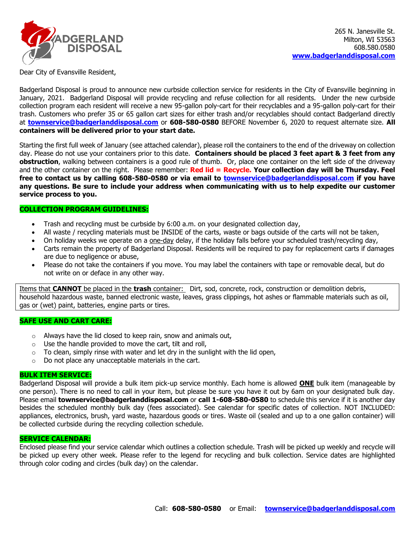

Dear City of Evansville Resident,

Badgerland Disposal is proud to announce new curbside collection service for residents in the City of Evansville beginning in January, 2021. Badgerland Disposal will provide recycling and refuse collection for all residents. Under the new curbside collection program each resident will receive a new 95-gallon poly-cart for their recyclables and a 95-gallon poly-cart for their trash. Customers who prefer 35 or 65 gallon cart sizes for either trash and/or recyclables should contact Badgerland directly at **[townservice@badgerlanddisposal.com](mailto:townservice@badgerlanddisposal.com)** or **608-580-0580** BEFORE November 6, 2020 to request alternate size. **All containers will be delivered prior to your start date.** 

Starting the first full week of January (see attached calendar), please roll the containers to the end of the driveway on collection day. Please do not use your containers prior to this date. **Containers should be placed 3 feet apart & 3 feet from any obstruction**, walking between containers is a good rule of thumb. Or, place one container on the left side of the driveway and the other container on the right. Please remember: **Red lid = Recycle. Your collection day will be Thursday. Feel free to contact us by calling 608-580-0580 or via email to [townservice@badgerlanddisposal.com](mailto:townservice@badgerlanddisposal.com) if you have any questions. Be sure to include your address when communicating with us to help expedite our customer service process to you.**

# **COLLECTION PROGRAM GUIDELINES:**

- Trash and recycling must be curbside by 6:00 a.m. on your designated collection day,
- All waste / recycling materials must be INSIDE of the carts, waste or bags outside of the carts will not be taken,
- On holiday weeks we operate on a one-day delay, if the holiday falls before your scheduled trash/recycling day,
- Carts remain the property of Badgerland Disposal. Residents will be required to pay for replacement carts if damages are due to negligence or abuse,
- Please do not take the containers if you move. You may label the containers with tape or removable decal, but do not write on or deface in any other way.

Items that **CANNOT** be placed in the **trash** container: Dirt, sod, concrete, rock, construction or demolition debris, household hazardous waste, banned electronic waste, leaves, grass clippings, hot ashes or flammable materials such as oil, gas or (wet) paint, batteries, engine parts or tires.

## **SAFE USE AND CART CARE:**

- $\circ$  Always have the lid closed to keep rain, snow and animals out,
- $\circ$  Use the handle provided to move the cart, tilt and roll,
- $\circ$  To clean, simply rinse with water and let dry in the sunlight with the lid open,
- o Do not place any unacceptable materials in the cart.

# **BULK ITEM SERVICE:**

Badgerland Disposal will provide a bulk item pick-up service monthly. Each home is allowed **ONE** bulk item (manageable by one person). There is no need to call in your item, but please be sure you have it out by 6am on your designated bulk day. Please email **townservice@badgerlanddisposal.com** or **call 1-608-580-0580** to schedule this service if it is another day besides the scheduled monthly bulk day (fees associated). See calendar for specific dates of collection. NOT INCLUDED: appliances, electronics, brush, yard waste, hazardous goods or tires. Waste oil (sealed and up to a one gallon container) will be collected curbside during the recycling collection schedule.

## **SERVICE CALENDAR:**

Enclosed please find your service calendar which outlines a collection schedule. Trash will be picked up weekly and recycle will be picked up every other week. Please refer to the legend for recycling and bulk collection. Service dates are highlighted through color coding and circles (bulk day) on the calendar.